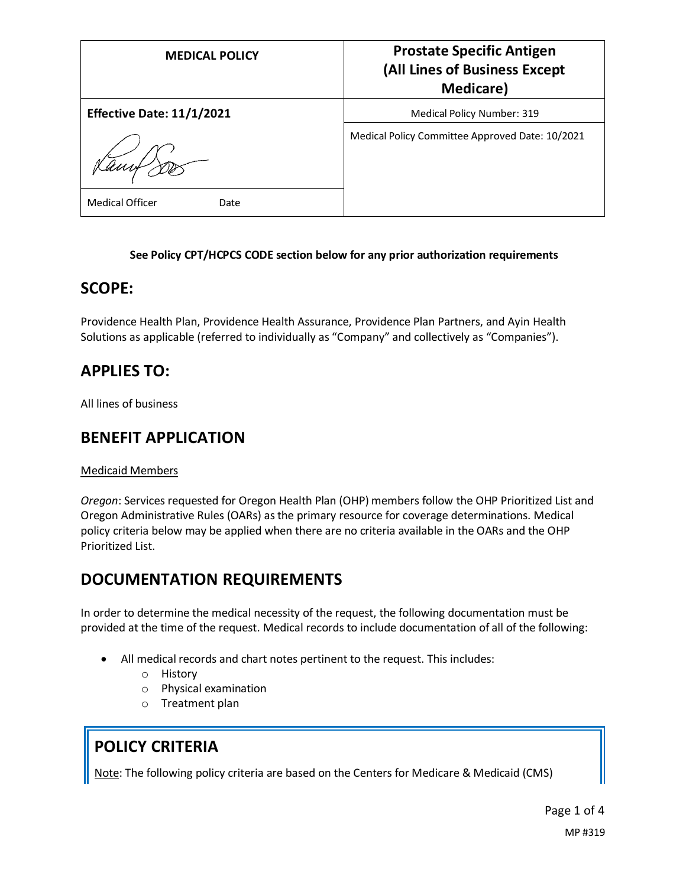| <b>MEDICAL POLICY</b>            | <b>Prostate Specific Antigen</b><br>(All Lines of Business Except<br><b>Medicare</b> ) |
|----------------------------------|----------------------------------------------------------------------------------------|
| <b>Effective Date: 11/1/2021</b> | <b>Medical Policy Number: 319</b>                                                      |
|                                  | Medical Policy Committee Approved Date: 10/2021                                        |
| <b>Medical Officer</b><br>Date   |                                                                                        |

### **See Policy CPT/HCPCS CODE section below for any prior authorization requirements**

### **SCOPE:**

Providence Health Plan, Providence Health Assurance, Providence Plan Partners, and Ayin Health Solutions as applicable (referred to individually as "Company" and collectively as "Companies").

### **APPLIES TO:**

All lines of business

### **BENEFIT APPLICATION**

### Medicaid Members

*Oregon*: Services requested for Oregon Health Plan (OHP) members follow the OHP Prioritized List and Oregon Administrative Rules (OARs) as the primary resource for coverage determinations. Medical policy criteria below may be applied when there are no criteria available in the OARs and the OHP Prioritized List.

### **DOCUMENTATION REQUIREMENTS**

In order to determine the medical necessity of the request, the following documentation must be provided at the time of the request. Medical records to include documentation of all of the following:

- All medical records and chart notes pertinent to the request. This includes:
	- o History
	- o Physical examination
	- o Treatment plan

### **POLICY CRITERIA**

Note: The following policy criteria are based on the Centers for Medicare & Medicaid (CMS)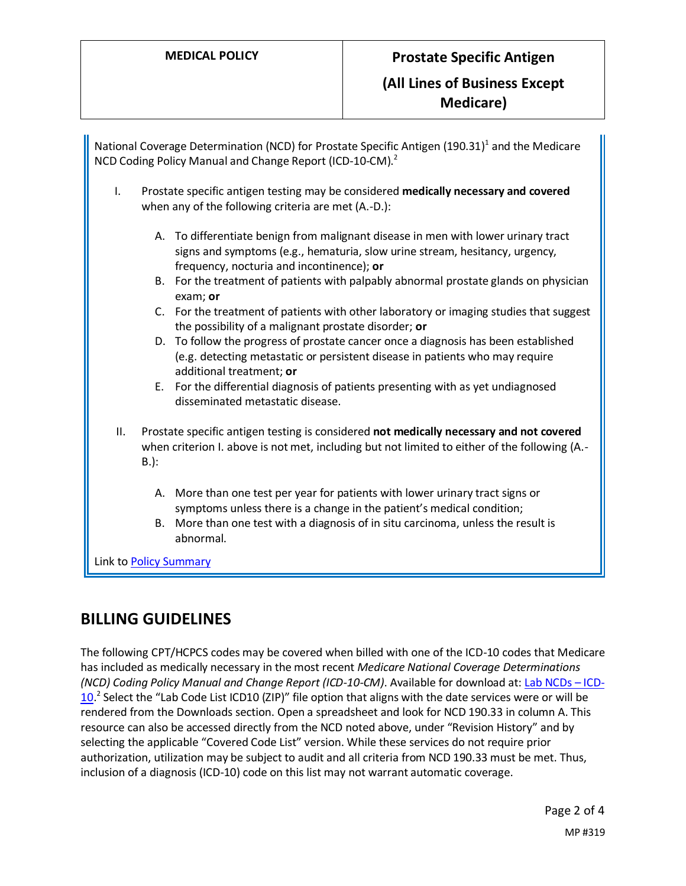|                | National Coverage Determination (NCD) for Prostate Specific Antigen (190.31) <sup>1</sup> and the Medicare<br>NCD Coding Policy Manual and Change Report (ICD-10-CM). <sup>2</sup>                                                                          |
|----------------|-------------------------------------------------------------------------------------------------------------------------------------------------------------------------------------------------------------------------------------------------------------|
| I.             | Prostate specific antigen testing may be considered medically necessary and covered<br>when any of the following criteria are met (A.-D.):                                                                                                                  |
|                | A. To differentiate benign from malignant disease in men with lower urinary tract<br>signs and symptoms (e.g., hematuria, slow urine stream, hesitancy, urgency,<br>frequency, nocturia and incontinence); or                                               |
|                | B. For the treatment of patients with palpably abnormal prostate glands on physician<br>exam; or                                                                                                                                                            |
|                | C. For the treatment of patients with other laboratory or imaging studies that suggest<br>the possibility of a malignant prostate disorder; or                                                                                                              |
|                | D. To follow the progress of prostate cancer once a diagnosis has been established<br>(e.g. detecting metastatic or persistent disease in patients who may require<br>additional treatment; or                                                              |
|                | For the differential diagnosis of patients presenting with as yet undiagnosed<br>Е.<br>disseminated metastatic disease.                                                                                                                                     |
| ΙΙ.<br>$B.$ ): | Prostate specific antigen testing is considered not medically necessary and not covered<br>when criterion I. above is not met, including but not limited to either of the following (A.-                                                                    |
|                | A. More than one test per year for patients with lower urinary tract signs or<br>symptoms unless there is a change in the patient's medical condition;<br>More than one test with a diagnosis of in situ carcinoma, unless the result is<br>В.<br>abnormal. |

Link to Policy Summary

### **BILLING GUIDELINES**

The following CPT/HCPCS codes may be covered when billed with one of the ICD-10 codes that Medicare has included as medically necessary in the most recent *Medicare National Coverage Determinations (NCD) Coding Policy Manual and Change Report (ICD-10-CM)*. Available for download at: [Lab NCDs](https://www.cms.gov/Medicare/Coverage/CoverageGenInfo/LabNCDsICD10) – ICD-[10.](https://www.cms.gov/Medicare/Coverage/CoverageGenInfo/LabNCDsICD10)<sup>2</sup> Select the "Lab Code List ICD10 (ZIP)" file option that aligns with the date services were or will be rendered from the Downloads section. Open a spreadsheet and look for NCD 190.33 in column A. This resource can also be accessed directly from the NCD noted above, under "Revision History" and by selecting the applicable "Covered Code List" version. While these services do not require prior authorization, utilization may be subject to audit and all criteria from NCD 190.33 must be met. Thus, inclusion of a diagnosis (ICD-10) code on this list may not warrant automatic coverage.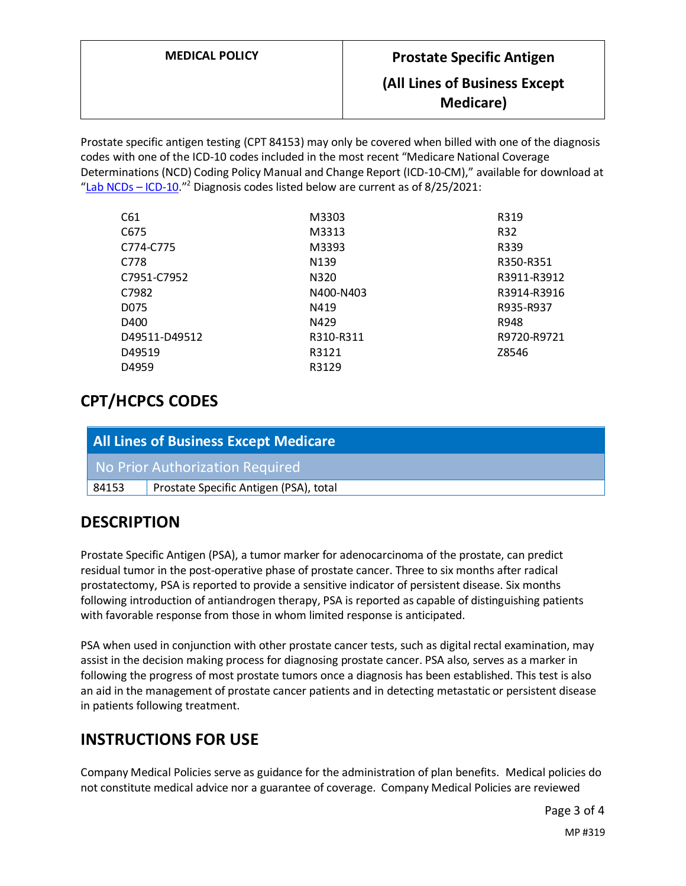# **MEDICAL POLICY Prostate Specific Antigen (All Lines of Business Except Medicare)**

Prostate specific antigen testing (CPT 84153) may only be covered when billed with one of the diagnosis codes with one of the ICD-10 codes included in the most recent "Medicare National Coverage Determinations (NCD) Coding Policy Manual and Change Report (ICD-10-CM)," available for download at "[Lab NCDs](https://www.cms.gov/Medicare/Coverage/CoverageGenInfo/LabNCDsICD10) – ICD-10."<sup>2</sup> Diagnosis codes listed below are current as of  $8/25/2021$ :

| M3303            | R319        |
|------------------|-------------|
| M3313            | R32         |
| M3393            | R339        |
| N <sub>139</sub> | R350-R351   |
| N320             | R3911-R3912 |
| N400-N403        | R3914-R3916 |
| N419             | R935-R937   |
| N429             | R948        |
| R310-R311        | R9720-R9721 |
| R3121            | Z8546       |
| R3129            |             |
|                  |             |

## **CPT/HCPCS CODES**

| <b>All Lines of Business Except Medicare</b> |                                        |  |
|----------------------------------------------|----------------------------------------|--|
|                                              | No Prior Authorization Required        |  |
| 84153                                        | Prostate Specific Antigen (PSA), total |  |

# **DESCRIPTION**

Prostate Specific Antigen (PSA), a tumor marker for adenocarcinoma of the prostate, can predict residual tumor in the post-operative phase of prostate cancer. Three to six months after radical prostatectomy, PSA is reported to provide a sensitive indicator of persistent disease. Six months following introduction of antiandrogen therapy, PSA is reported as capable of distinguishing patients with favorable response from those in whom limited response is anticipated.

PSA when used in conjunction with other prostate cancer tests, such as digital rectal examination, may assist in the decision making process for diagnosing prostate cancer. PSA also, serves as a marker in following the progress of most prostate tumors once a diagnosis has been established. This test is also an aid in the management of prostate cancer patients and in detecting metastatic or persistent disease in patients following treatment.

## **INSTRUCTIONS FOR USE**

Company Medical Policies serve as guidance for the administration of plan benefits. Medical policies do not constitute medical advice nor a guarantee of coverage. Company Medical Policies are reviewed